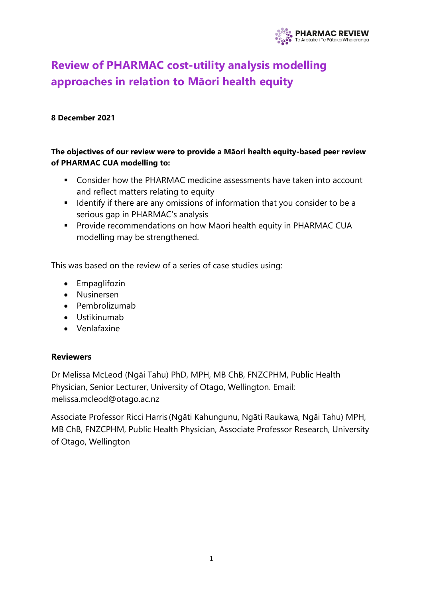

# **Review of PHARMAC cost-utility analysis modelling approaches in relation to Māori health equity**

#### **8 December 2021**

### **The objectives of our review were to provide a Māori health equity-based peer review of PHARMAC CUA modelling to:**

- Consider how the PHARMAC medicine assessments have taken into account and reflect matters relating to equity
- Identify if there are any omissions of information that you consider to be a serious gap in PHARMAC's analysis
- **Provide recommendations on how Māori health equity in PHARMAC CUA** modelling may be strengthened.

This was based on the review of a series of case studies using:

- Empaglifozin
- Nusinersen
- Pembrolizumab
- Ustikinumab
- Venlafaxine

#### **Reviewers**

Dr Melissa McLeod (Ngāi Tahu) PhD, MPH, MB ChB, FNZCPHM, Public Health Physician, Senior Lecturer, University of Otago, Wellington. Email: melissa.mcleod@otago.ac.nz

Associate Professor Ricci Harris (Ngāti Kahungunu, Ngāti Raukawa, Ngāi Tahu) MPH, MB ChB, FNZCPHM, Public Health Physician, Associate Professor Research, University of Otago, Wellington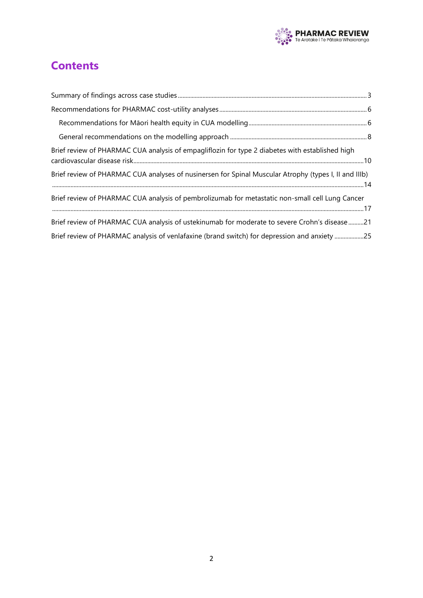

## **Contents**

| Brief review of PHARMAC CUA analysis of empagliflozin for type 2 diabetes with established high       |  |
|-------------------------------------------------------------------------------------------------------|--|
| Brief review of PHARMAC CUA analyses of nusinersen for Spinal Muscular Atrophy (types I, II and IIIb) |  |
| Brief review of PHARMAC CUA analysis of pembrolizumab for metastatic non-small cell Lung Cancer       |  |
| Brief review of PHARMAC CUA analysis of ustekinumab for moderate to severe Crohn's disease21          |  |
| Brief review of PHARMAC analysis of venlafaxine (brand switch) for depression and anxiety 25          |  |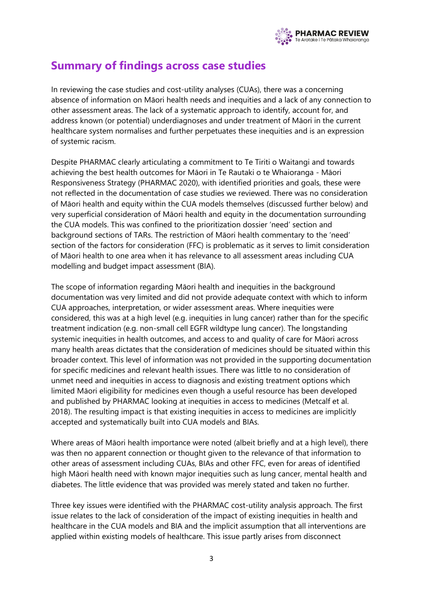

## <span id="page-2-0"></span>**Summary of findings across case studies**

In reviewing the case studies and cost-utility analyses (CUAs), there was a concerning absence of information on Māori health needs and inequities and a lack of any connection to other assessment areas. The lack of a systematic approach to identify, account for, and address known (or potential) underdiagnoses and under treatment of Māori in the current healthcare system normalises and further perpetuates these inequities and is an expression of systemic racism.

Despite PHARMAC clearly articulating a commitment to Te Tiriti o Waitangi and towards achieving the best health outcomes for Māori in Te Rautaki o te Whaioranga - Māori Responsiveness Strategy (PHARMAC 2020), with identified priorities and goals, these were not reflected in the documentation of case studies we reviewed. There was no consideration of Māori health and equity within the CUA models themselves (discussed further below) and very superficial consideration of Māori health and equity in the documentation surrounding the CUA models. This was confined to the prioritization dossier 'need' section and background sections of TARs. The restriction of Māori health commentary to the 'need' section of the factors for consideration (FFC) is problematic as it serves to limit consideration of Māori health to one area when it has relevance to all assessment areas including CUA modelling and budget impact assessment (BIA).

The scope of information regarding Māori health and inequities in the background documentation was very limited and did not provide adequate context with which to inform CUA approaches, interpretation, or wider assessment areas. Where inequities were considered, this was at a high level (e.g. inequities in lung cancer) rather than for the specific treatment indication (e.g. non-small cell EGFR wildtype lung cancer). The longstanding systemic inequities in health outcomes, and access to and quality of care for Māori across many health areas dictates that the consideration of medicines should be situated within this broader context. This level of information was not provided in the supporting documentation for specific medicines and relevant health issues. There was little to no consideration of unmet need and inequities in access to diagnosis and existing treatment options which limited Māori eligibility for medicines even though a useful resource has been developed and published by PHARMAC looking at inequities in access to medicines (Metcalf et al. 2018). The resulting impact is that existing inequities in access to medicines are implicitly accepted and systematically built into CUA models and BIAs.

Where areas of Māori health importance were noted (albeit briefly and at a high level), there was then no apparent connection or thought given to the relevance of that information to other areas of assessment including CUAs, BIAs and other FFC, even for areas of identified high Māori health need with known major inequities such as lung cancer, mental health and diabetes. The little evidence that was provided was merely stated and taken no further.

Three key issues were identified with the PHARMAC cost-utility analysis approach. The first issue relates to the lack of consideration of the impact of existing inequities in health and healthcare in the CUA models and BIA and the implicit assumption that all interventions are applied within existing models of healthcare. This issue partly arises from disconnect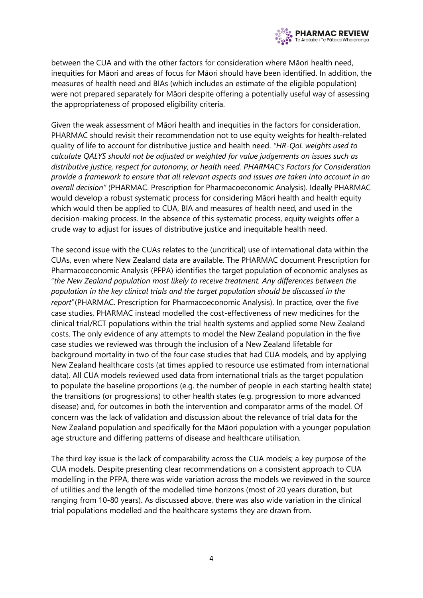

between the CUA and with the other factors for consideration where Māori health need, inequities for Māori and areas of focus for Māori should have been identified. In addition, the measures of health need and BIAs (which includes an estimate of the eligible population) were not prepared separately for Māori despite offering a potentially useful way of assessing the appropriateness of proposed eligibility criteria.

Given the weak assessment of Māori health and inequities in the factors for consideration, PHARMAC should revisit their recommendation not to use equity weights for health-related quality of life to account for distributive justice and health need. *"HR-QoL weights used to calculate QALYS should not be adjusted or weighted for value judgements on issues such as distributive justice, respect for autonomy, or health need. PHARMAC's Factors for Consideration provide a framework to ensure that all relevant aspects and issues are taken into account in an overall decision"* (PHARMAC. Prescription for Pharmacoeconomic Analysis). Ideally PHARMAC would develop a robust systematic process for considering Māori health and health equity which would then be applied to CUA, BIA and measures of health need, and used in the decision-making process. In the absence of this systematic process, equity weights offer a crude way to adjust for issues of distributive justice and inequitable health need.

The second issue with the CUAs relates to the (uncritical) use of international data within the CUAs, even where New Zealand data are available. The PHARMAC document Prescription for Pharmacoeconomic Analysis (PFPA) identifies the target population of economic analyses as "*the New Zealand population most likely to receive treatment. Any differences between the population in the key clinical trials and the target population should be discussed in the report*"(PHARMAC. Prescription for Pharmacoeconomic Analysis). In practice, over the five case studies, PHARMAC instead modelled the cost-effectiveness of new medicines for the clinical trial/RCT populations within the trial health systems and applied some New Zealand costs. The only evidence of any attempts to model the New Zealand population in the five case studies we reviewed was through the inclusion of a New Zealand lifetable for background mortality in two of the four case studies that had CUA models, and by applying New Zealand healthcare costs (at times applied to resource use estimated from international data). All CUA models reviewed used data from international trials as the target population to populate the baseline proportions (e.g. the number of people in each starting health state) the transitions (or progressions) to other health states (e.g. progression to more advanced disease) and, for outcomes in both the intervention and comparator arms of the model. Of concern was the lack of validation and discussion about the relevance of trial data for the New Zealand population and specifically for the Māori population with a younger population age structure and differing patterns of disease and healthcare utilisation.

The third key issue is the lack of comparability across the CUA models; a key purpose of the CUA models. Despite presenting clear recommendations on a consistent approach to CUA modelling in the PFPA, there was wide variation across the models we reviewed in the source of utilities and the length of the modelled time horizons (most of 20 years duration, but ranging from 10-80 years). As discussed above, there was also wide variation in the clinical trial populations modelled and the healthcare systems they are drawn from.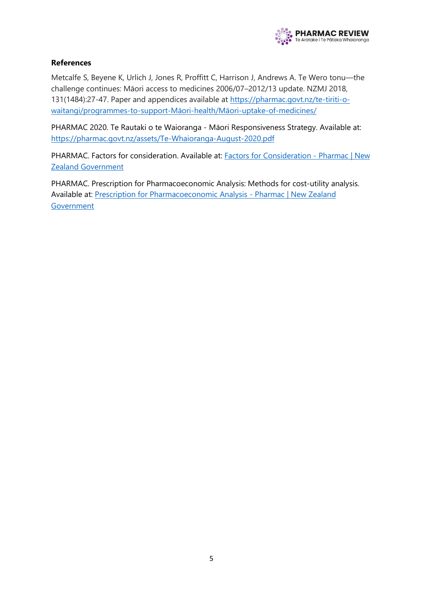

#### **References**

Metcalfe S, Beyene K, Urlich J, Jones R, Proffitt C, Harrison J, Andrews A. Te Wero tonu—the challenge continues: Māori access to medicines 2006/07–2012/13 update. NZMJ 2018, 131(1484):27-47. Paper and appendices available at [https://pharmac.govt.nz/te-tiriti-o](https://pharmac.govt.nz/te-tiriti-o-waitangi/programmes-to-support-maori-health/maori-uptake-of-medicines/)[waitangi/programmes-to-support-](https://pharmac.govt.nz/te-tiriti-o-waitangi/programmes-to-support-maori-health/maori-uptake-of-medicines/)Māori-health/Māori-uptake-of-medicines/

PHARMAC 2020. Te Rautaki o te Waioranga - Māori Responsiveness Strategy. Available at: <https://pharmac.govt.nz/assets/Te-Whaioranga-August-2020.pdf>

PHARMAC. Factors for consideration. Available at: **Factors for Consideration - Pharmac | New** [Zealand Government](https://pharmac.govt.nz/medicine-funding-and-supply/the-funding-process/policies-manuals-and-processes/factors-for-consideration/)

PHARMAC. Prescription for Pharmacoeconomic Analysis: Methods for cost-utility analysis. Available at: [Prescription for Pharmacoeconomic Analysis -](https://pharmac.govt.nz/medicine-funding-and-supply/the-funding-process/policies-manuals-and-processes/economic-analysis/prescription-for-pharmacoeconomic-analysis-methods-for-cost-utility-analysis/) Pharmac | New Zealand [Government](https://pharmac.govt.nz/medicine-funding-and-supply/the-funding-process/policies-manuals-and-processes/economic-analysis/prescription-for-pharmacoeconomic-analysis-methods-for-cost-utility-analysis/)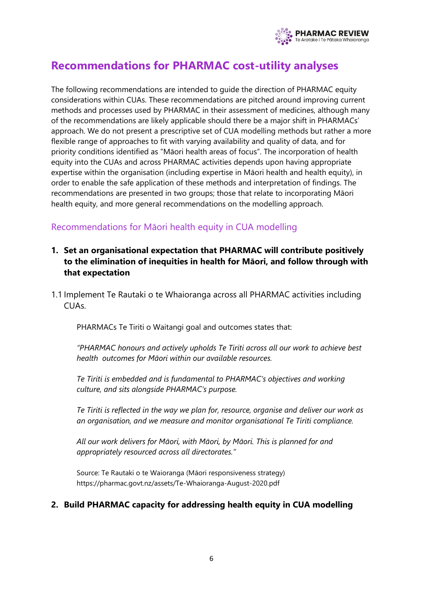

## <span id="page-5-0"></span>**Recommendations for PHARMAC cost-utility analyses**

The following recommendations are intended to guide the direction of PHARMAC equity considerations within CUAs. These recommendations are pitched around improving current methods and processes used by PHARMAC in their assessment of medicines, although many of the recommendations are likely applicable should there be a major shift in PHARMACs' approach. We do not present a prescriptive set of CUA modelling methods but rather a more flexible range of approaches to fit with varying availability and quality of data, and for priority conditions identified as "Māori health areas of focus". The incorporation of health equity into the CUAs and across PHARMAC activities depends upon having appropriate expertise within the organisation (including expertise in Māori health and health equity), in order to enable the safe application of these methods and interpretation of findings. The recommendations are presented in two groups; those that relate to incorporating Māori health equity, and more general recommendations on the modelling approach.

## <span id="page-5-1"></span>Recommendations for Māori health equity in CUA modelling

- **1. Set an organisational expectation that PHARMAC will contribute positively to the elimination of inequities in health for Māori, and follow through with that expectation**
- 1.1 Implement Te Rautaki o te Whaioranga across all PHARMAC activities including CUAs.

PHARMACs Te Tiriti o Waitangi goal and outcomes states that:

*"PHARMAC honours and actively upholds Te Tiriti across all our work to achieve best health outcomes for Māori within our available resources.* 

*Te Tiriti is embedded and is fundamental to PHARMAC's objectives and working culture, and sits alongside PHARMAC's purpose.*

*Te Tiriti is reflected in the way we plan for, resource, organise and deliver our work as an organisation, and we measure and monitor organisational Te Tiriti compliance.*

*All our work delivers for Māori, with Māori, by Māori. This is planned for and appropriately resourced across all directorates."* 

Source: Te Rautaki o te Waioranga (Māori responsiveness strategy) https://pharmac.govt.nz/assets/Te-Whaioranga-August-2020.pdf

### **2. Build PHARMAC capacity for addressing health equity in CUA modelling**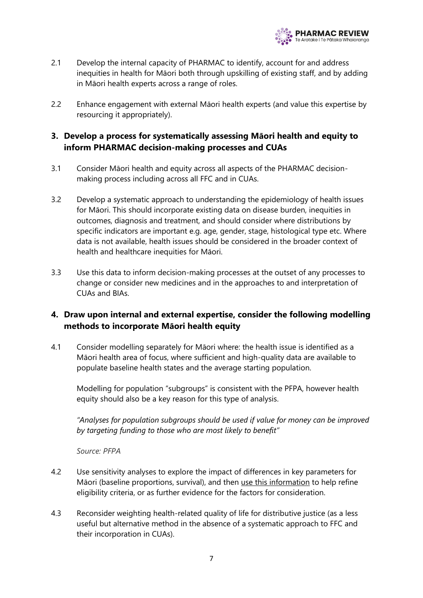

- 2.1 Develop the internal capacity of PHARMAC to identify, account for and address inequities in health for Māori both through upskilling of existing staff, and by adding in Māori health experts across a range of roles.
- 2.2 Enhance engagement with external Māori health experts (and value this expertise by resourcing it appropriately).

### **3. Develop a process for systematically assessing Māori health and equity to inform PHARMAC decision-making processes and CUAs**

- 3.1 Consider Māori health and equity across all aspects of the PHARMAC decisionmaking process including across all FFC and in CUAs.
- 3.2 Develop a systematic approach to understanding the epidemiology of health issues for Māori. This should incorporate existing data on disease burden, inequities in outcomes, diagnosis and treatment, and should consider where distributions by specific indicators are important e.g. age, gender, stage, histological type etc. Where data is not available, health issues should be considered in the broader context of health and healthcare inequities for Māori.
- 3.3 Use this data to inform decision-making processes at the outset of any processes to change or consider new medicines and in the approaches to and interpretation of CUAs and BIAs.

## **4. Draw upon internal and external expertise, consider the following modelling methods to incorporate Māori health equity**

4.1 Consider modelling separately for Māori where: the health issue is identified as a Māori health area of focus, where sufficient and high-quality data are available to populate baseline health states and the average starting population.

Modelling for population "subgroups" is consistent with the PFPA, however health equity should also be a key reason for this type of analysis.

*"Analyses for population subgroups should be used if value for money can be improved by targeting funding to those who are most likely to benefit"* 

*Source: PFPA*

- 4.2 Use sensitivity analyses to explore the impact of differences in key parameters for Māori (baseline proportions, survival), and then use this information to help refine eligibility criteria, or as further evidence for the factors for consideration.
- 4.3 Reconsider weighting health-related quality of life for distributive justice (as a less useful but alternative method in the absence of a systematic approach to FFC and their incorporation in CUAs).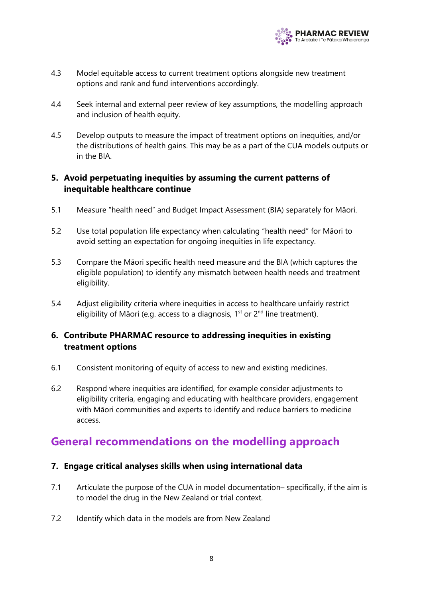

- 4.3 Model equitable access to current treatment options alongside new treatment options and rank and fund interventions accordingly.
- 4.4 Seek internal and external peer review of key assumptions, the modelling approach and inclusion of health equity.
- 4.5 Develop outputs to measure the impact of treatment options on inequities, and/or the distributions of health gains. This may be as a part of the CUA models outputs or in the BIA.

### **5. Avoid perpetuating inequities by assuming the current patterns of inequitable healthcare continue**

- 5.1 Measure "health need" and Budget Impact Assessment (BIA) separately for Māori.
- 5.2 Use total population life expectancy when calculating "health need" for Māori to avoid setting an expectation for ongoing inequities in life expectancy.
- 5.3 Compare the Māori specific health need measure and the BIA (which captures the eligible population) to identify any mismatch between health needs and treatment eligibility.
- 5.4 Adjust eligibility criteria where inequities in access to healthcare unfairly restrict eligibility of Māori (e.g. access to a diagnosis,  $1<sup>st</sup>$  or  $2<sup>nd</sup>$  line treatment).

### **6. Contribute PHARMAC resource to addressing inequities in existing treatment options**

- 6.1 Consistent monitoring of equity of access to new and existing medicines.
- 6.2 Respond where inequities are identified, for example consider adjustments to eligibility criteria, engaging and educating with healthcare providers, engagement with Māori communities and experts to identify and reduce barriers to medicine access.

## <span id="page-7-0"></span>**General recommendations on the modelling approach**

### **7. Engage critical analyses skills when using international data**

- 7.1 Articulate the purpose of the CUA in model documentation-specifically, if the aim is to model the drug in the New Zealand or trial context.
- 7.2 Identify which data in the models are from New Zealand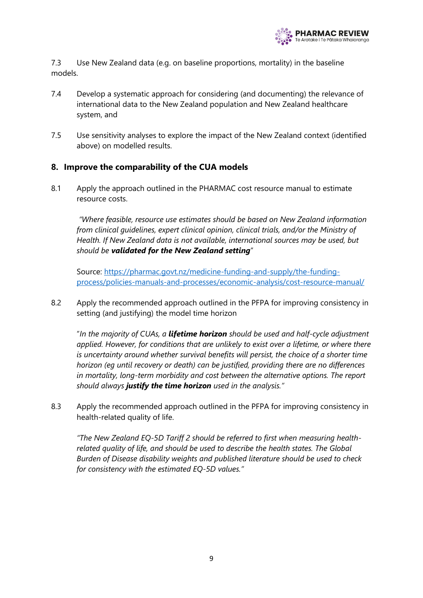

7.3 Use New Zealand data (e.g. on baseline proportions, mortality) in the baseline models.

- 7.4 Develop a systematic approach for considering (and documenting) the relevance of international data to the New Zealand population and New Zealand healthcare system, and
- 7.5 Use sensitivity analyses to explore the impact of the New Zealand context (identified above) on modelled results.

#### **8. Improve the comparability of the CUA models**

8.1 Apply the approach outlined in the PHARMAC cost resource manual to estimate resource costs.

*"Where feasible, resource use estimates should be based on New Zealand information from clinical guidelines, expert clinical opinion, clinical trials, and/or the Ministry of Health. If New Zealand data is not available, international sources may be used, but should be validated for the New Zealand setting*"

Source: [https://pharmac.govt.nz/medicine-funding-and-supply/the-funding](https://pharmac.govt.nz/medicine-funding-and-supply/the-funding-process/policies-manuals-and-processes/economic-analysis/cost-resource-manual/)[process/policies-manuals-and-processes/economic-analysis/cost-resource-manual/](https://pharmac.govt.nz/medicine-funding-and-supply/the-funding-process/policies-manuals-and-processes/economic-analysis/cost-resource-manual/)

8.2 Apply the recommended approach outlined in the PFPA for improving consistency in setting (and justifying) the model time horizon

"*In the majority of CUAs, a lifetime horizon should be used and half-cycle adjustment applied. However, for conditions that are unlikely to exist over a lifetime, or where there is uncertainty around whether survival benefits will persist, the choice of a shorter time horizon (eg until recovery or death) can be justified, providing there are no differences in mortality, long-term morbidity and cost between the alternative options. The report should always justify the time horizon used in the analysis."*

8.3 Apply the recommended approach outlined in the PFPA for improving consistency in health-related quality of life.

*"The New Zealand EQ-5D Tariff 2 should be referred to first when measuring healthrelated quality of life, and should be used to describe the health states. The Global Burden of Disease disability weights and published literature should be used to check for consistency with the estimated EQ-5D values."*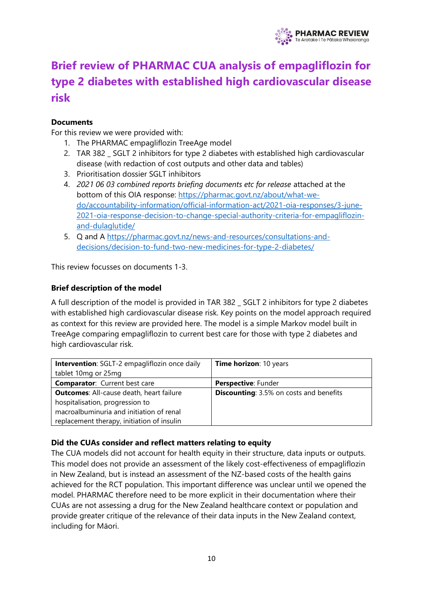

# <span id="page-9-0"></span>**Brief review of PHARMAC CUA analysis of empagliflozin for type 2 diabetes with established high cardiovascular disease risk**

#### **Documents**

For this review we were provided with:

- 1. The PHARMAC empagliflozin TreeAge model
- 2. TAR 382 SGLT 2 inhibitors for type 2 diabetes with established high cardiovascular disease (with redaction of cost outputs and other data and tables)
- 3. Prioritisation dossier SGLT inhibitors
- 4. *2021 06 03 combined reports briefing documents etc for release* attached at the bottom of this OIA response: [https://pharmac.govt.nz/about/what-we](https://apc01.safelinks.protection.outlook.com/?url=https%3A%2F%2Fpharmac.govt.nz%2Fabout%2Fwhat-we-do%2Faccountability-information%2Fofficial-information-act%2F2021-oia-responses%2F3-june-2021-oia-response-decision-to-change-special-authority-criteria-for-empagliflozin-and-dulaglutide%2F&data=04%7C01%7Cmelissa.mcleod%40otago.ac.nz%7C6d68c571ac8b4fde10e808d94737c539%7C0225efc578fe4928b1579ef24809e9ba%7C1%7C0%7C637619127141753157%7CUnknown%7CTWFpbGZsb3d8eyJWIjoiMC4wLjAwMDAiLCJQIjoiV2luMzIiLCJBTiI6Ik1haWwiLCJXVCI6Mn0%3D%7C1000&sdata=YnCqPnmH4%2Fl9pRfmxDArqvmNiIgSLcl5sB7w%2BOwDRIc%3D&reserved=0)[do/accountability-information/official-information-act/2021-oia-responses/3-june-](https://apc01.safelinks.protection.outlook.com/?url=https%3A%2F%2Fpharmac.govt.nz%2Fabout%2Fwhat-we-do%2Faccountability-information%2Fofficial-information-act%2F2021-oia-responses%2F3-june-2021-oia-response-decision-to-change-special-authority-criteria-for-empagliflozin-and-dulaglutide%2F&data=04%7C01%7Cmelissa.mcleod%40otago.ac.nz%7C6d68c571ac8b4fde10e808d94737c539%7C0225efc578fe4928b1579ef24809e9ba%7C1%7C0%7C637619127141753157%7CUnknown%7CTWFpbGZsb3d8eyJWIjoiMC4wLjAwMDAiLCJQIjoiV2luMzIiLCJBTiI6Ik1haWwiLCJXVCI6Mn0%3D%7C1000&sdata=YnCqPnmH4%2Fl9pRfmxDArqvmNiIgSLcl5sB7w%2BOwDRIc%3D&reserved=0)[2021-oia-response-decision-to-change-special-authority-criteria-for-empagliflozin](https://apc01.safelinks.protection.outlook.com/?url=https%3A%2F%2Fpharmac.govt.nz%2Fabout%2Fwhat-we-do%2Faccountability-information%2Fofficial-information-act%2F2021-oia-responses%2F3-june-2021-oia-response-decision-to-change-special-authority-criteria-for-empagliflozin-and-dulaglutide%2F&data=04%7C01%7Cmelissa.mcleod%40otago.ac.nz%7C6d68c571ac8b4fde10e808d94737c539%7C0225efc578fe4928b1579ef24809e9ba%7C1%7C0%7C637619127141753157%7CUnknown%7CTWFpbGZsb3d8eyJWIjoiMC4wLjAwMDAiLCJQIjoiV2luMzIiLCJBTiI6Ik1haWwiLCJXVCI6Mn0%3D%7C1000&sdata=YnCqPnmH4%2Fl9pRfmxDArqvmNiIgSLcl5sB7w%2BOwDRIc%3D&reserved=0)[and-dulaglutide/](https://apc01.safelinks.protection.outlook.com/?url=https%3A%2F%2Fpharmac.govt.nz%2Fabout%2Fwhat-we-do%2Faccountability-information%2Fofficial-information-act%2F2021-oia-responses%2F3-june-2021-oia-response-decision-to-change-special-authority-criteria-for-empagliflozin-and-dulaglutide%2F&data=04%7C01%7Cmelissa.mcleod%40otago.ac.nz%7C6d68c571ac8b4fde10e808d94737c539%7C0225efc578fe4928b1579ef24809e9ba%7C1%7C0%7C637619127141753157%7CUnknown%7CTWFpbGZsb3d8eyJWIjoiMC4wLjAwMDAiLCJQIjoiV2luMzIiLCJBTiI6Ik1haWwiLCJXVCI6Mn0%3D%7C1000&sdata=YnCqPnmH4%2Fl9pRfmxDArqvmNiIgSLcl5sB7w%2BOwDRIc%3D&reserved=0)
- 5. Q and A [https://pharmac.govt.nz/news-and-resources/consultations-and](https://apc01.safelinks.protection.outlook.com/?url=https%3A%2F%2Fpharmac.govt.nz%2Fnews-and-resources%2Fconsultations-and-decisions%2Fdecision-to-fund-two-new-medicines-for-type-2-diabetes%2F&data=04%7C01%7Cmelissa.mcleod%40otago.ac.nz%7C6d68c571ac8b4fde10e808d94737c539%7C0225efc578fe4928b1579ef24809e9ba%7C1%7C0%7C637619127141753157%7CUnknown%7CTWFpbGZsb3d8eyJWIjoiMC4wLjAwMDAiLCJQIjoiV2luMzIiLCJBTiI6Ik1haWwiLCJXVCI6Mn0%3D%7C1000&sdata=YEpZBCI6171Qv02tEVNdOr2yb5MNFVS5RQEZ2%2BaJI08%3D&reserved=0)[decisions/decision-to-fund-two-new-medicines-for-type-2-diabetes/](https://apc01.safelinks.protection.outlook.com/?url=https%3A%2F%2Fpharmac.govt.nz%2Fnews-and-resources%2Fconsultations-and-decisions%2Fdecision-to-fund-two-new-medicines-for-type-2-diabetes%2F&data=04%7C01%7Cmelissa.mcleod%40otago.ac.nz%7C6d68c571ac8b4fde10e808d94737c539%7C0225efc578fe4928b1579ef24809e9ba%7C1%7C0%7C637619127141753157%7CUnknown%7CTWFpbGZsb3d8eyJWIjoiMC4wLjAwMDAiLCJQIjoiV2luMzIiLCJBTiI6Ik1haWwiLCJXVCI6Mn0%3D%7C1000&sdata=YEpZBCI6171Qv02tEVNdOr2yb5MNFVS5RQEZ2%2BaJI08%3D&reserved=0)

This review focusses on documents 1-3.

#### **Brief description of the model**

A full description of the model is provided in TAR 382 \_ SGLT 2 inhibitors for type 2 diabetes with established high cardiovascular disease risk. Key points on the model approach required as context for this review are provided here. The model is a simple Markov model built in TreeAge comparing empagliflozin to current best care for those with type 2 diabetes and high cardiovascular risk.

| <b>Intervention:</b> SGLT-2 empagliflozin once daily | Time horizon: 10 years                         |
|------------------------------------------------------|------------------------------------------------|
| tablet 10mg or 25mg                                  |                                                |
| <b>Comparator:</b> Current best care                 | <b>Perspective: Funder</b>                     |
| <b>Outcomes:</b> All-cause death, heart failure      | <b>Discounting:</b> 3.5% on costs and benefits |
| hospitalisation, progression to                      |                                                |
| macroalbuminuria and initiation of renal             |                                                |
| replacement therapy, initiation of insulin           |                                                |

#### **Did the CUAs consider and reflect matters relating to equity**

The CUA models did not account for health equity in their structure, data inputs or outputs. This model does not provide an assessment of the likely cost-effectiveness of empagliflozin in New Zealand, but is instead an assessment of the NZ-based costs of the health gains achieved for the RCT population. This important difference was unclear until we opened the model. PHARMAC therefore need to be more explicit in their documentation where their CUAs are not assessing a drug for the New Zealand healthcare context or population and provide greater critique of the relevance of their data inputs in the New Zealand context, including for Māori.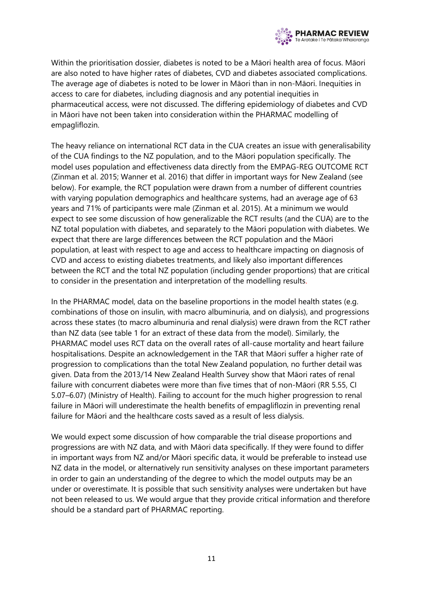

Within the prioritisation dossier, diabetes is noted to be a Māori health area of focus. Māori are also noted to have higher rates of diabetes, CVD and diabetes associated complications. The average age of diabetes is noted to be lower in Māori than in non-Māori. Inequities in access to care for diabetes, including diagnosis and any potential inequities in pharmaceutical access, were not discussed. The differing epidemiology of diabetes and CVD in Māori have not been taken into consideration within the PHARMAC modelling of empagliflozin.

The heavy reliance on international RCT data in the CUA creates an issue with generalisability of the CUA findings to the NZ population, and to the Māori population specifically. The model uses population and effectiveness data directly from the EMPAG-REG OUTCOME RCT (Zinman et al. 2015; Wanner et al. 2016) that differ in important ways for New Zealand (see below). For example, the RCT population were drawn from a number of different countries with varying population demographics and healthcare systems, had an average age of 63 years and 71% of participants were male (Zinman et al. 2015). At a minimum we would expect to see some discussion of how generalizable the RCT results (and the CUA) are to the NZ total population with diabetes, and separately to the Māori population with diabetes. We expect that there are large differences between the RCT population and the Māori population, at least with respect to age and access to healthcare impacting on diagnosis of CVD and access to existing diabetes treatments, and likely also important differences between the RCT and the total NZ population (including gender proportions) that are critical to consider in the presentation and interpretation of the modelling results.

In the PHARMAC model, data on the baseline proportions in the model health states (e.g. combinations of those on insulin, with macro albuminuria, and on dialysis), and progressions across these states (to macro albuminuria and renal dialysis) were drawn from the RCT rather than NZ data (see table 1 for an extract of these data from the model). Similarly, the PHARMAC model uses RCT data on the overall rates of all-cause mortality and heart failure hospitalisations. Despite an acknowledgement in the TAR that Māori suffer a higher rate of progression to complications than the total New Zealand population, no further detail was given. Data from the 2013/14 New Zealand Health Survey show that Māori rates of renal failure with concurrent diabetes were more than five times that of non-Māori (RR 5.55, CI 5.07–6.07) (Ministry of Health). Failing to account for the much higher progression to renal failure in Māori will underestimate the health benefits of empagliflozin in preventing renal failure for Māori and the healthcare costs saved as a result of less dialysis.

We would expect some discussion of how comparable the trial disease proportions and progressions are with NZ data, and with Māori data specifically. If they were found to differ in important ways from NZ and/or Māori specific data, it would be preferable to instead use NZ data in the model, or alternatively run sensitivity analyses on these important parameters in order to gain an understanding of the degree to which the model outputs may be an under or overestimate. It is possible that such sensitivity analyses were undertaken but have not been released to us. We would argue that they provide critical information and therefore should be a standard part of PHARMAC reporting.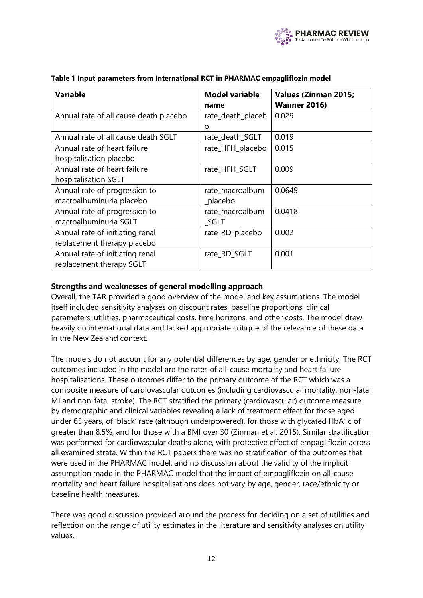

| <b>Variable</b>                        | <b>Model variable</b> | <b>Values (Zinman 2015;</b> |
|----------------------------------------|-----------------------|-----------------------------|
|                                        | name                  | <b>Wanner 2016)</b>         |
| Annual rate of all cause death placebo | rate_death_placeb     | 0.029                       |
|                                        | O                     |                             |
| Annual rate of all cause death SGLT    | rate_death_SGLT       | 0.019                       |
| Annual rate of heart failure           | rate_HFH_placebo      | 0.015                       |
| hospitalisation placebo                |                       |                             |
| Annual rate of heart failure           | rate_HFH_SGLT         | 0.009                       |
| hospitalisation SGLT                   |                       |                             |
| Annual rate of progression to          | rate_macroalbum       | 0.0649                      |
| macroalbuminuria placebo               | placebo               |                             |
| Annual rate of progression to          | rate_macroalbum       | 0.0418                      |
| macroalbuminuria SGLT                  | SGLT                  |                             |
| Annual rate of initiating renal        | rate_RD_placebo       | 0.002                       |
| replacement therapy placebo            |                       |                             |
| Annual rate of initiating renal        | rate_RD_SGLT          | 0.001                       |
| replacement therapy SGLT               |                       |                             |

#### **Table 1 Input parameters from International RCT in PHARMAC empagliflozin model**

#### **Strengths and weaknesses of general modelling approach**

Overall, the TAR provided a good overview of the model and key assumptions. The model itself included sensitivity analyses on discount rates, baseline proportions, clinical parameters, utilities, pharmaceutical costs, time horizons, and other costs. The model drew heavily on international data and lacked appropriate critique of the relevance of these data in the New Zealand context.

The models do not account for any potential differences by age, gender or ethnicity. The RCT outcomes included in the model are the rates of all-cause mortality and heart failure hospitalisations. These outcomes differ to the primary outcome of the RCT which was a composite measure of cardiovascular outcomes (including cardiovascular mortality, non-fatal MI and non-fatal stroke). The RCT stratified the primary (cardiovascular) outcome measure by demographic and clinical variables revealing a lack of treatment effect for those aged under 65 years, of 'black' race (although underpowered), for those with glycated HbA1c of greater than 8.5%, and for those with a BMI over 30 (Zinman et al. 2015). Similar stratification was performed for cardiovascular deaths alone, with protective effect of empagliflozin across all examined strata. Within the RCT papers there was no stratification of the outcomes that were used in the PHARMAC model, and no discussion about the validity of the implicit assumption made in the PHARMAC model that the impact of empagliflozin on all-cause mortality and heart failure hospitalisations does not vary by age, gender, race/ethnicity or baseline health measures.

There was good discussion provided around the process for deciding on a set of utilities and reflection on the range of utility estimates in the literature and sensitivity analyses on utility values.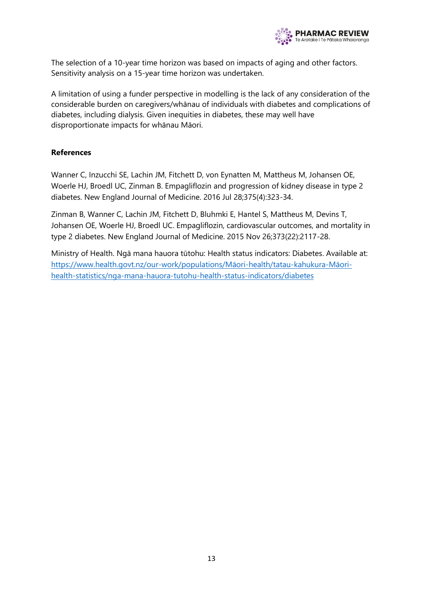

The selection of a 10-year time horizon was based on impacts of aging and other factors. Sensitivity analysis on a 15-year time horizon was undertaken.

A limitation of using a funder perspective in modelling is the lack of any consideration of the considerable burden on caregivers/whānau of individuals with diabetes and complications of diabetes, including dialysis. Given inequities in diabetes, these may well have disproportionate impacts for whānau Māori.

#### **References**

Wanner C, Inzucchi SE, Lachin JM, Fitchett D, von Eynatten M, Mattheus M, Johansen OE, Woerle HJ, Broedl UC, Zinman B. Empagliflozin and progression of kidney disease in type 2 diabetes. New England Journal of Medicine. 2016 Jul 28;375(4):323-34.

Zinman B, Wanner C, Lachin JM, Fitchett D, Bluhmki E, Hantel S, Mattheus M, Devins T, Johansen OE, Woerle HJ, Broedl UC. Empagliflozin, cardiovascular outcomes, and mortality in type 2 diabetes. New England Journal of Medicine. 2015 Nov 26;373(22):2117-28.

Ministry of Health. Ngā mana hauora tūtohu: Health status indicators: Diabetes. Available at: [https://www.health.govt.nz/our-](https://www.health.govt.nz/our-work/populations/Māori-health/tatau-kahukura-Māori-health-statistics/nga-mana-hauora-tutohu-health-status-indicators/diabetes)work/populations/Māori-health/tatau-kahukura-Māori[health-statistics/nga-mana-hauora-tutohu-health-status-indicators/diabetes](https://www.health.govt.nz/our-work/populations/Māori-health/tatau-kahukura-Māori-health-statistics/nga-mana-hauora-tutohu-health-status-indicators/diabetes)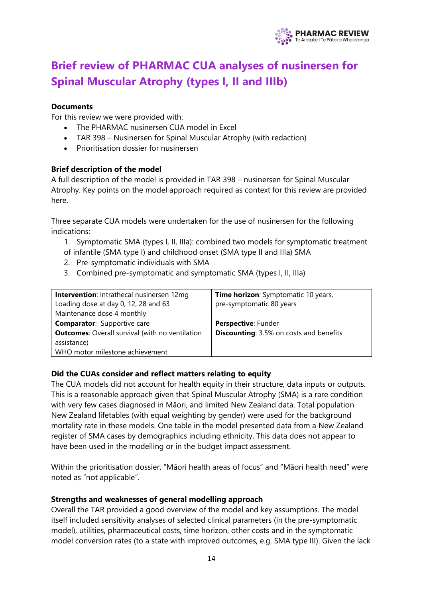

# <span id="page-13-0"></span>**Brief review of PHARMAC CUA analyses of nusinersen for Spinal Muscular Atrophy (types I, II and IIIb)**

#### **Documents**

For this review we were provided with:

- The PHARMAC nusinersen CUA model in Excel
- TAR 398 Nusinersen for Spinal Muscular Atrophy (with redaction)
- Prioritisation dossier for nusinersen

#### **Brief description of the model**

A full description of the model is provided in TAR 398 – nusinersen for Spinal Muscular Atrophy. Key points on the model approach required as context for this review are provided here.

Three separate CUA models were undertaken for the use of nusinersen for the following indications:

1. Symptomatic SMA (types I, II, IIIa): combined two models for symptomatic treatment of infantile (SMA type I) and childhood onset (SMA type II and IIIa) SMA

- 2. Pre-symptomatic individuals with SMA
- 3. Combined pre-symptomatic and symptomatic SMA (types I, II, IIIa)

| <b>Intervention:</b> Intrathecal nusinersen 12mg       | Time horizon: Symptomatic 10 years,            |
|--------------------------------------------------------|------------------------------------------------|
| Loading dose at day 0, 12, 28 and 63                   | pre-symptomatic 80 years                       |
| Maintenance dose 4 monthly                             |                                                |
| <b>Comparator:</b> Supportive care                     | <b>Perspective: Funder</b>                     |
| <b>Outcomes:</b> Overall survival (with no ventilation | <b>Discounting:</b> 3.5% on costs and benefits |
| assistance)                                            |                                                |
| WHO motor milestone achievement                        |                                                |

#### **Did the CUAs consider and reflect matters relating to equity**

The CUA models did not account for health equity in their structure, data inputs or outputs. This is a reasonable approach given that Spinal Muscular Atrophy (SMA) is a rare condition with very few cases diagnosed in Māori, and limited New Zealand data. Total population New Zealand lifetables (with equal weighting by gender) were used for the background mortality rate in these models. One table in the model presented data from a New Zealand register of SMA cases by demographics including ethnicity. This data does not appear to have been used in the modelling or in the budget impact assessment.

Within the prioritisation dossier, "Māori health areas of focus" and "Māori health need" were noted as "not applicable".

#### **Strengths and weaknesses of general modelling approach**

Overall the TAR provided a good overview of the model and key assumptions. The model itself included sensitivity analyses of selected clinical parameters (in the pre-symptomatic model), utilities, pharmaceutical costs, time horizon, other costs and in the symptomatic model conversion rates (to a state with improved outcomes, e.g. SMA type III). Given the lack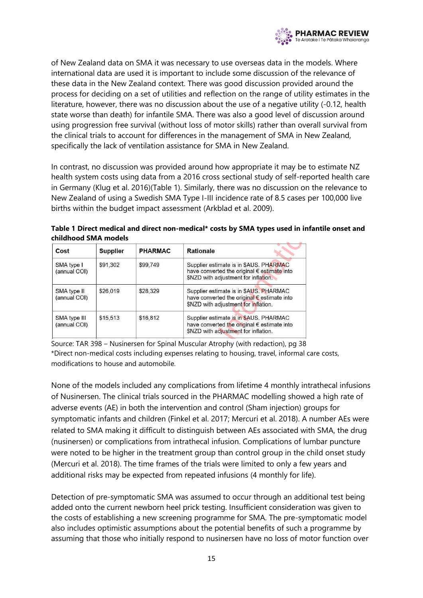

of New Zealand data on SMA it was necessary to use overseas data in the models. Where international data are used it is important to include some discussion of the relevance of these data in the New Zealand context. There was good discussion provided around the process for deciding on a set of utilities and reflection on the range of utility estimates in the literature, however, there was no discussion about the use of a negative utility (-0.12, health state worse than death) for infantile SMA. There was also a good level of discussion around using progression free survival (without loss of motor skills) rather than overall survival from the clinical trials to account for differences in the management of SMA in New Zealand, specifically the lack of ventilation assistance for SMA in New Zealand.

In contrast, no discussion was provided around how appropriate it may be to estimate NZ health system costs using data from a 2016 cross sectional study of self-reported health care in Germany (Klug et al. 2016)(Table 1). Similarly, there was no discussion on the relevance to New Zealand of using a Swedish SMA Type I-III incidence rate of 8.5 cases per 100,000 live births within the budget impact assessment (Arkblad et al. 2009).

**Table 1 Direct medical and direct non-medical\* costs by SMA types used in infantile onset and childhood SMA models**

| Cost                         | <b>Supplier</b> | <b>PHARMAC</b> | <b>Rationale</b>                                                                                                              |
|------------------------------|-----------------|----------------|-------------------------------------------------------------------------------------------------------------------------------|
| SMA type I<br>(annual COI)   | \$91,302        | \$99,749       | Supplier estimate is in \$AUS. PHARMAC<br>have converted the original € estimate into<br>\$NZD with adjustment for inflation. |
| SMA type II<br>(annual COI)  | \$26,019        | \$28,329       | Supplier estimate is in \$AUS. PHARMAC<br>have converted the original € estimate into<br>\$NZD with adjustment for inflation. |
| SMA type III<br>(annual COI) | \$15,513        | \$16,812       | Supplier estimate is in \$AUS. PHARMAC<br>have converted the original € estimate into<br>\$NZD with adjustment for inflation. |

Source: TAR 398 – Nusinersen for Spinal Muscular Atrophy (with redaction), pg 38 \*Direct non-medical costs including expenses relating to housing, travel, informal care costs, modifications to house and automobile.

None of the models included any complications from lifetime 4 monthly intrathecal infusions of Nusinersen. The clinical trials sourced in the PHARMAC modelling showed a high rate of adverse events (AE) in both the intervention and control (Sham injection) groups for symptomatic infants and children (Finkel et al. 2017; Mercuri et al. 2018). A number AEs were related to SMA making it difficult to distinguish between AEs associated with SMA, the drug (nusinersen) or complications from intrathecal infusion. Complications of lumbar puncture were noted to be higher in the treatment group than control group in the child onset study (Mercuri et al. 2018). The time frames of the trials were limited to only a few years and additional risks may be expected from repeated infusions (4 monthly for life).

Detection of pre-symptomatic SMA was assumed to occur through an additional test being added onto the current newborn heel prick testing. Insufficient consideration was given to the costs of establishing a new screening programme for SMA. The pre-symptomatic model also includes optimistic assumptions about the potential benefits of such a programme by assuming that those who initially respond to nusinersen have no loss of motor function over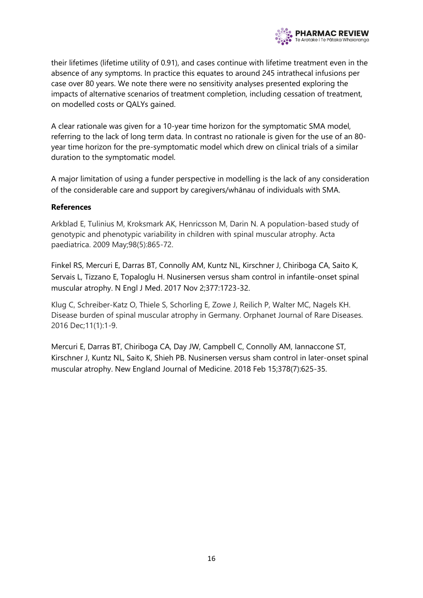

their lifetimes (lifetime utility of 0.91), and cases continue with lifetime treatment even in the absence of any symptoms. In practice this equates to around 245 intrathecal infusions per case over 80 years. We note there were no sensitivity analyses presented exploring the impacts of alternative scenarios of treatment completion, including cessation of treatment, on modelled costs or QALYs gained.

A clear rationale was given for a 10-year time horizon for the symptomatic SMA model, referring to the lack of long term data. In contrast no rationale is given for the use of an 80 year time horizon for the pre-symptomatic model which drew on clinical trials of a similar duration to the symptomatic model.

A major limitation of using a funder perspective in modelling is the lack of any consideration of the considerable care and support by caregivers/whānau of individuals with SMA.

#### **References**

Arkblad E, Tulinius M, Kroksmark AK, Henricsson M, Darin N. A population‐based study of genotypic and phenotypic variability in children with spinal muscular atrophy. Acta paediatrica. 2009 May;98(5):865-72.

Finkel RS, Mercuri E, Darras BT, Connolly AM, Kuntz NL, Kirschner J, Chiriboga CA, Saito K, Servais L, Tizzano E, Topaloglu H. Nusinersen versus sham control in infantile-onset spinal muscular atrophy. N Engl J Med. 2017 Nov 2;377:1723-32.

Klug C, Schreiber-Katz O, Thiele S, Schorling E, Zowe J, Reilich P, Walter MC, Nagels KH. Disease burden of spinal muscular atrophy in Germany. Orphanet Journal of Rare Diseases. 2016 Dec;11(1):1-9.

Mercuri E, Darras BT, Chiriboga CA, Day JW, Campbell C, Connolly AM, Iannaccone ST, Kirschner J, Kuntz NL, Saito K, Shieh PB. Nusinersen versus sham control in later-onset spinal muscular atrophy. New England Journal of Medicine. 2018 Feb 15;378(7):625-35.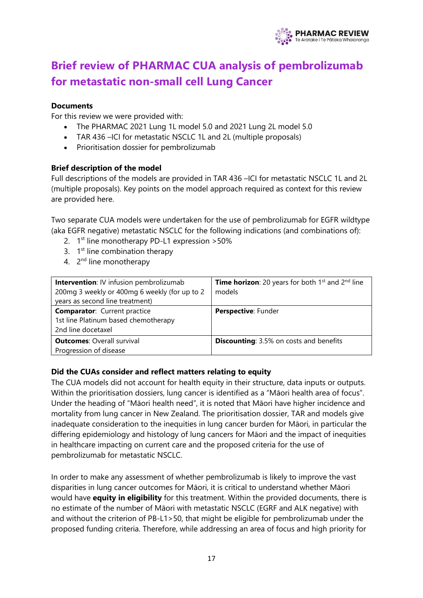

# <span id="page-16-0"></span>**Brief review of PHARMAC CUA analysis of pembrolizumab for metastatic non-small cell Lung Cancer**

#### **Documents**

For this review we were provided with:

- The PHARMAC 2021 Lung 1L model 5.0 and 2021 Lung 2L model 5.0
- TAR 436 –ICI for metastatic NSCLC 1L and 2L (multiple proposals)
- Prioritisation dossier for pembrolizumab

#### **Brief description of the model**

Full descriptions of the models are provided in TAR 436 –ICI for metastatic NSCLC 1L and 2L (multiple proposals). Key points on the model approach required as context for this review are provided here.

Two separate CUA models were undertaken for the use of pembrolizumab for EGFR wildtype (aka EGFR negative) metastatic NSCLC for the following indications (and combinations of):

- 2. 1<sup>st</sup> line monotherapy PD-L1 expression > 50%
- 3.  $1<sup>st</sup>$  line combination therapy
- 4. 2<sup>nd</sup> line monotherapy

| <b>Intervention: IV infusion pembrolizumab</b><br>200mg 3 weekly or 400mg 6 weekly (for up to 2<br>years as second line treatment) | <b>Time horizon:</b> 20 years for both $1^{st}$ and $2^{nd}$ line<br>models |
|------------------------------------------------------------------------------------------------------------------------------------|-----------------------------------------------------------------------------|
| <b>Comparator:</b> Current practice<br>1st line Platinum based chemotherapy<br>2nd line docetaxel                                  | Perspective: Funder                                                         |
| <b>Outcomes: Overall survival</b><br>Progression of disease                                                                        | <b>Discounting:</b> 3.5% on costs and benefits                              |

#### **Did the CUAs consider and reflect matters relating to equity**

The CUA models did not account for health equity in their structure, data inputs or outputs. Within the prioritisation dossiers, lung cancer is identified as a "Māori health area of focus". Under the heading of "Māori health need", it is noted that Māori have higher incidence and mortality from lung cancer in New Zealand. The prioritisation dossier, TAR and models give inadequate consideration to the inequities in lung cancer burden for Māori, in particular the differing epidemiology and histology of lung cancers for Māori and the impact of inequities in healthcare impacting on current care and the proposed criteria for the use of pembrolizumab for metastatic NSCLC.

In order to make any assessment of whether pembrolizumab is likely to improve the vast disparities in lung cancer outcomes for Māori, it is critical to understand whether Māori would have **equity in eligibility** for this treatment. Within the provided documents, there is no estimate of the number of Māori with metastatic NSCLC (EGRF and ALK negative) with and without the criterion of PB-L1>50, that might be eligible for pembrolizumab under the proposed funding criteria. Therefore, while addressing an area of focus and high priority for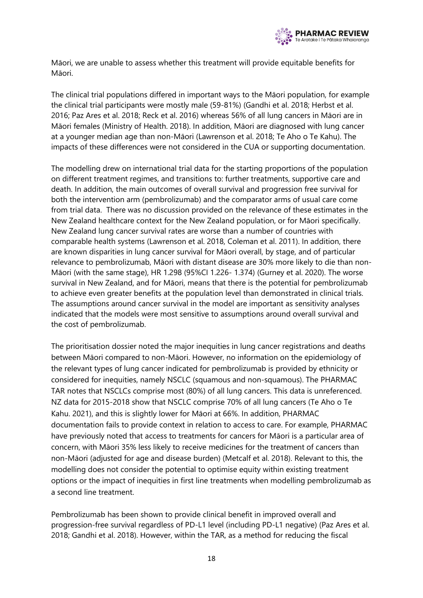

Māori, we are unable to assess whether this treatment will provide equitable benefits for Māori.

The clinical trial populations differed in important ways to the Māori population, for example the clinical trial participants were mostly male (59-81%) (Gandhi et al. 2018; Herbst et al. 2016; Paz Ares et al. 2018; Reck et al. 2016) whereas 56% of all lung cancers in Māori are in Māori females (Ministry of Health. 2018). In addition, Māori are diagnosed with lung cancer at a younger median age than non-Māori (Lawrenson et al. 2018; Te Aho o Te Kahu). The impacts of these differences were not considered in the CUA or supporting documentation.

The modelling drew on international trial data for the starting proportions of the population on different treatment regimes, and transitions to: further treatments, supportive care and death. In addition, the main outcomes of overall survival and progression free survival for both the intervention arm (pembrolizumab) and the comparator arms of usual care come from trial data. There was no discussion provided on the relevance of these estimates in the New Zealand healthcare context for the New Zealand population, or for Māori specifically. New Zealand lung cancer survival rates are worse than a number of countries with comparable health systems (Lawrenson et al. 2018, Coleman et al. 2011). In addition, there are known disparities in lung cancer survival for Māori overall, by stage, and of particular relevance to pembrolizumab, Māori with distant disease are 30% more likely to die than non-Māori (with the same stage), HR 1.298 (95%CI 1.226- 1.374) (Gurney et al. 2020). The worse survival in New Zealand, and for Māori, means that there is the potential for pembrolizumab to achieve even greater benefits at the population level than demonstrated in clinical trials. The assumptions around cancer survival in the model are important as sensitivity analyses indicated that the models were most sensitive to assumptions around overall survival and the cost of pembrolizumab.

The prioritisation dossier noted the major inequities in lung cancer registrations and deaths between Māori compared to non-Māori. However, no information on the epidemiology of the relevant types of lung cancer indicated for pembrolizumab is provided by ethnicity or considered for inequities, namely NSCLC (squamous and non-squamous). The PHARMAC TAR notes that NSCLCs comprise most (80%) of all lung cancers. This data is unreferenced. NZ data for 2015-2018 show that NSCLC comprise 70% of all lung cancers (Te Aho o Te Kahu. 2021), and this is slightly lower for Māori at 66%. In addition, PHARMAC documentation fails to provide context in relation to access to care. For example, PHARMAC have previously noted that access to treatments for cancers for Māori is a particular area of concern, with Māori 35% less likely to receive medicines for the treatment of cancers than non-Māori (adjusted for age and disease burden) (Metcalf et al. 2018). Relevant to this, the modelling does not consider the potential to optimise equity within existing treatment options or the impact of inequities in first line treatments when modelling pembrolizumab as a second line treatment.

Pembrolizumab has been shown to provide clinical benefit in improved overall and progression-free survival regardless of PD-L1 level (including PD-L1 negative) (Paz Ares et al. 2018; Gandhi et al. 2018). However, within the TAR, as a method for reducing the fiscal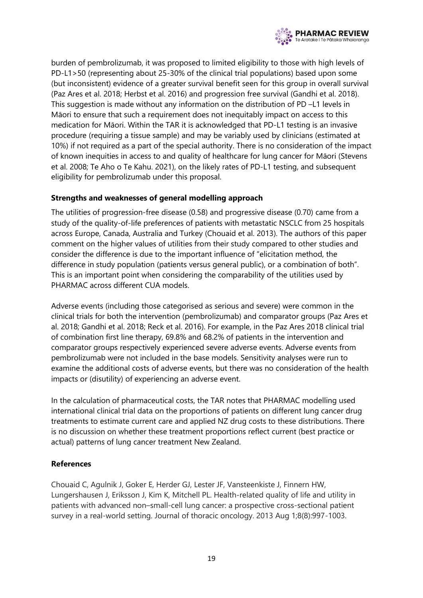

burden of pembrolizumab, it was proposed to limited eligibility to those with high levels of PD-L1>50 (representing about 25-30% of the clinical trial populations) based upon some (but inconsistent) evidence of a greater survival benefit seen for this group in overall survival (Paz Ares et al. 2018; Herbst et al. 2016) and progression free survival (Gandhi et al. 2018). This suggestion is made without any information on the distribution of PD –L1 levels in Māori to ensure that such a requirement does not inequitably impact on access to this medication for Māori. Within the TAR it is acknowledged that PD-L1 testing is an invasive procedure (requiring a tissue sample) and may be variably used by clinicians (estimated at 10%) if not required as a part of the special authority. There is no consideration of the impact of known inequities in access to and quality of healthcare for lung cancer for Māori (Stevens et al. 2008; Te Aho o Te Kahu. 2021), on the likely rates of PD-L1 testing, and subsequent eligibility for pembrolizumab under this proposal.

#### **Strengths and weaknesses of general modelling approach**

The utilities of progression-free disease (0.58) and progressive disease (0.70) came from a study of the quality-of-life preferences of patients with metastatic NSCLC from 25 hospitals across Europe, Canada, Australia and Turkey (Chouaid et al. 2013). The authors of this paper comment on the higher values of utilities from their study compared to other studies and consider the difference is due to the important influence of "elicitation method, the difference in study population (patients versus general public), or a combination of both". This is an important point when considering the comparability of the utilities used by PHARMAC across different CUA models.

Adverse events (including those categorised as serious and severe) were common in the clinical trials for both the intervention (pembrolizumab) and comparator groups (Paz Ares et al. 2018; Gandhi et al. 2018; Reck et al. 2016). For example, in the Paz Ares 2018 clinical trial of combination first line therapy, 69.8% and 68.2% of patients in the intervention and comparator groups respectively experienced severe adverse events. Adverse events from pembrolizumab were not included in the base models. Sensitivity analyses were run to examine the additional costs of adverse events, but there was no consideration of the health impacts or (disutility) of experiencing an adverse event.

In the calculation of pharmaceutical costs, the TAR notes that PHARMAC modelling used international clinical trial data on the proportions of patients on different lung cancer drug treatments to estimate current care and applied NZ drug costs to these distributions. There is no discussion on whether these treatment proportions reflect current (best practice or actual) patterns of lung cancer treatment New Zealand.

#### **References**

Chouaid C, Agulnik J, Goker E, Herder GJ, Lester JF, Vansteenkiste J, Finnern HW, Lungershausen J, Eriksson J, Kim K, Mitchell PL. Health-related quality of life and utility in patients with advanced non–small-cell lung cancer: a prospective cross-sectional patient survey in a real-world setting. Journal of thoracic oncology. 2013 Aug 1;8(8):997-1003.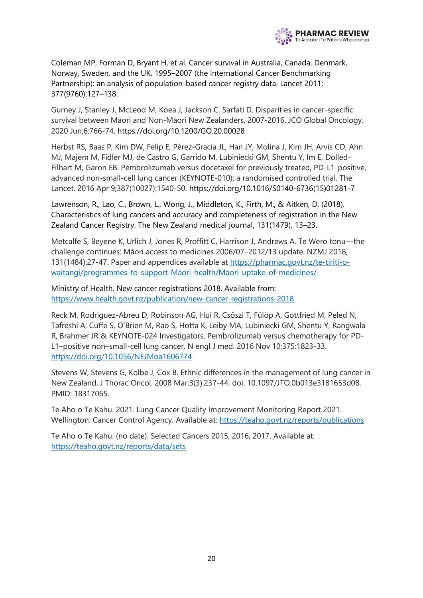

Coleman MP, Forman D, Bryant H, et al. Cancer survival in Australia, Canada, Denmark, Norway, Sweden, and the UK, 1995–2007 (the International Cancer Benchmarking Partnership): an analysis of population-based cancer registry data. Lancet 2011; 377(9760):127–138.

Gurney J, Stanley J, McLeod M, Koea J, Jackson C, Sarfati D. Disparities in cancer-specific survival between Māori and Non-Māori New Zealanders, 2007-2016. JCO Global Oncology. 2020 Jun;6:766-74. https://doi.org/10.1200/GO.20.00028

Herbst RS, Baas P, Kim DW, Felip E, Pérez-Gracia JL, Han JY, Molina J, Kim JH, Arvis CD, Ahn MJ, Majem M, Fidler MJ, de Castro G, Garrido M, Lubiniecki GM, Shentu Y, Im E, Dolled-Filhart M, Garon EB. Pembrolizumab versus docetaxel for previously treated, PD-L1-positive, advanced non-small-cell lung cancer (KEYNOTE-010): a randomised controlled trial. The Lancet. 2016 Apr 9;387(10027):1540-50. https://doi.org/10.1016/S0140-6736(15)01281-7

Lawrenson, R., Lao, C., Brown, L., Wong, J., Middleton, K., Firth, M., & Aitken, D. (2018). Characteristics of lung cancers and accuracy and completeness of registration in the New Zealand Cancer Registry. The New Zealand medical journal, 131(1479), 13–23.

Metcalfe S, Beyene K, Urlich J, Jones R, Proffitt C, Harrison J, Andrews A. Te Wero tonu—the challenge continues: Māori access to medicines 2006/07–2012/13 update. NZMJ 2018, 131(1484):27-47. Paper and appendices available at [https://pharmac.govt.nz/te-tiriti-o](https://pharmac.govt.nz/te-tiriti-o-waitangi/programmes-to-support-maori-health/maori-uptake-of-medicines/)[waitangi/programmes-to-support-](https://pharmac.govt.nz/te-tiriti-o-waitangi/programmes-to-support-maori-health/maori-uptake-of-medicines/)Māori-health/Māori-uptake-of-medicines/

Ministry of Health. New cancer registrations 2018. Available from: <https://www.health.govt.nz/publication/new-cancer-registrations-2018>

Reck M, Rodríguez-Abreu D, Robinson AG, Hui R, Csőszi T, Fülöp A, Gottfried M, Peled N, Tafreshi A, Cuffe S, O'Brien M, Rao S, Hotta K, Leiby MA, Lubiniecki GM, Shentu Y, Rangwala R, Brahmer JR & KEYNOTE-024 Investigators. Pembrolizumab versus chemotherapy for PD-L1–positive non–small-cell lung cancer. N engl J med. 2016 Nov 10;375:1823-33. <https://doi.org/10.1056/NEJMoa1606774>

Stevens W, Stevens G, Kolbe J, Cox B. Ethnic differences in the management of lung cancer in New Zealand. J Thorac Oncol. 2008 Mar;3(3):237-44. doi: 10.1097/JTO.0b013e3181653d08. PMID: 18317065.

Te Aho o Te Kahu. 2021. Lung Cancer Quality Improvement Monitoring Report 2021. Wellington: Cancer Control Agency. Available at:<https://teaho.govt.nz/reports/publications>

Te Aho o Te Kahu. (no date). Selected Cancers 2015, 2016, 2017. Available at: <https://teaho.govt.nz/reports/data/sets>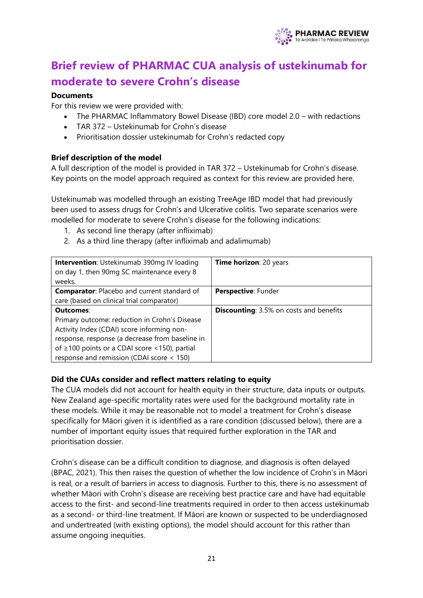

# <span id="page-20-0"></span>**Brief review of PHARMAC CUA analysis of ustekinumab for moderate to severe Crohn's disease**

#### **Documents**

For this review we were provided with:

- The PHARMAC Inflammatory Bowel Disease (IBD) core model 2.0 with redactions
- TAR 372 Ustekinumab for Crohn's disease
- Prioritisation dossier ustekinumab for Crohn's redacted copy

#### **Brief description of the model**

A full description of the model is provided in TAR 372 – Ustekinumab for Crohn's disease. Key points on the model approach required as context for this review are provided here.

Ustekinumab was modelled through an existing TreeAge IBD model that had previously been used to assess drugs for Crohn's and Ulcerative colitis. Two separate scenarios were modelled for moderate to severe Crohn's disease for the following indications:

- 1. As second line therapy (after infliximab)
- 2. As a third line therapy (after infliximab and adalimumab)

| <b>Intervention:</b> Ustekinumab 390mg IV loading<br>on day 1, then 90mg SC maintenance every 8<br>weeks.                                                                                                                                                 | Time horizon: 20 years                         |
|-----------------------------------------------------------------------------------------------------------------------------------------------------------------------------------------------------------------------------------------------------------|------------------------------------------------|
| <b>Comparator:</b> Placebo and current standard of<br>care (based on clinical trial comparator)                                                                                                                                                           | Perspective: Funder                            |
| Outcomes:<br>Primary outcome: reduction in Crohn's Disease<br>Activity Index (CDAI) score informing non-<br>response, response (a decrease from baseline in<br>of ≥100 points or a CDAI score <150), partial<br>response and remission (CDAI score < 150) | <b>Discounting:</b> 3.5% on costs and benefits |

#### **Did the CUAs consider and reflect matters relating to equity**

The CUA models did not account for health equity in their structure, data inputs or outputs. New Zealand age-specific mortality rates were used for the background mortality rate in these models. While it may be reasonable not to model a treatment for Crohn's disease specifically for Māori given it is identified as a rare condition (discussed below), there are a number of important equity issues that required further exploration in the TAR and prioritisation dossier.

Crohn's disease can be a difficult condition to diagnose, and diagnosis is often delayed (BPAC, 2021). This then raises the question of whether the low incidence of Crohn's in Māori is real, or a result of barriers in access to diagnosis. Further to this, there is no assessment of whether Māori with Crohn's disease are receiving best practice care and have had equitable access to the first- and second-line treatments required in order to then access ustekinumab as a second- or third-line treatment. If Māori are known or suspected to be underdiagnosed and undertreated (with existing options), the model should account for this rather than assume ongoing inequities.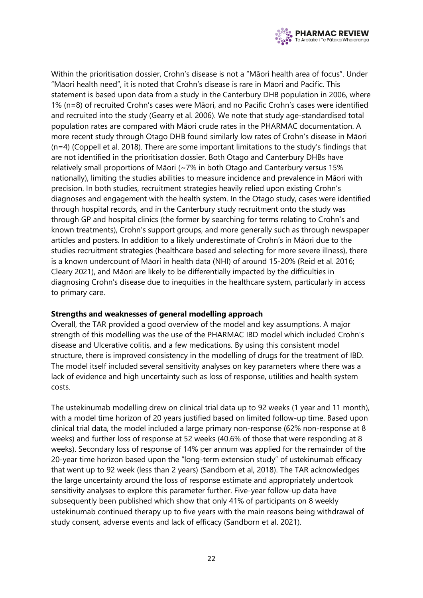

Within the prioritisation dossier, Crohn's disease is not a "Māori health area of focus". Under "Māori health need", it is noted that Crohn's disease is rare in Māori and Pacific. This statement is based upon data from a study in the Canterbury DHB population in 2006, where 1% (n=8) of recruited Crohn's cases were Māori, and no Pacific Crohn's cases were identified and recruited into the study (Gearry et al. 2006). We note that study age-standardised total population rates are compared with Māori crude rates in the PHARMAC documentation. A more recent study through Otago DHB found similarly low rates of Crohn's disease in Māori (n=4) (Coppell et al. 2018). There are some important limitations to the study's findings that are not identified in the prioritisation dossier. Both Otago and Canterbury DHBs have relatively small proportions of Māori (~7% in both Otago and Canterbury versus 15% nationally), limiting the studies abilities to measure incidence and prevalence in Māori with precision. In both studies, recruitment strategies heavily relied upon existing Crohn's diagnoses and engagement with the health system. In the Otago study, cases were identified through hospital records, and in the Canterbury study recruitment onto the study was through GP and hospital clinics (the former by searching for terms relating to Crohn's and known treatments), Crohn's support groups, and more generally such as through newspaper articles and posters. In addition to a likely underestimate of Crohn's in Māori due to the studies recruitment strategies (healthcare based and selecting for more severe illness), there is a known undercount of Māori in health data (NHI) of around 15-20% (Reid et al. 2016; Cleary 2021), and Māori are likely to be differentially impacted by the difficulties in diagnosing Crohn's disease due to inequities in the healthcare system, particularly in access to primary care.

#### **Strengths and weaknesses of general modelling approach**

Overall, the TAR provided a good overview of the model and key assumptions. A major strength of this modelling was the use of the PHARMAC IBD model which included Crohn's disease and Ulcerative colitis, and a few medications. By using this consistent model structure, there is improved consistency in the modelling of drugs for the treatment of IBD. The model itself included several sensitivity analyses on key parameters where there was a lack of evidence and high uncertainty such as loss of response, utilities and health system costs.

The ustekinumab modelling drew on clinical trial data up to 92 weeks (1 year and 11 month), with a model time horizon of 20 years justified based on limited follow-up time. Based upon clinical trial data, the model included a large primary non-response (62% non-response at 8 weeks) and further loss of response at 52 weeks (40.6% of those that were responding at 8 weeks). Secondary loss of response of 14% per annum was applied for the remainder of the 20-year time horizon based upon the "long-term extension study" of ustekinumab efficacy that went up to 92 week (less than 2 years) (Sandborn et al, 2018). The TAR acknowledges the large uncertainty around the loss of response estimate and appropriately undertook sensitivity analyses to explore this parameter further. Five-year follow-up data have subsequently been published which show that only 41% of participants on 8 weekly ustekinumab continued therapy up to five years with the main reasons being withdrawal of study consent, adverse events and lack of efficacy (Sandborn et al. 2021).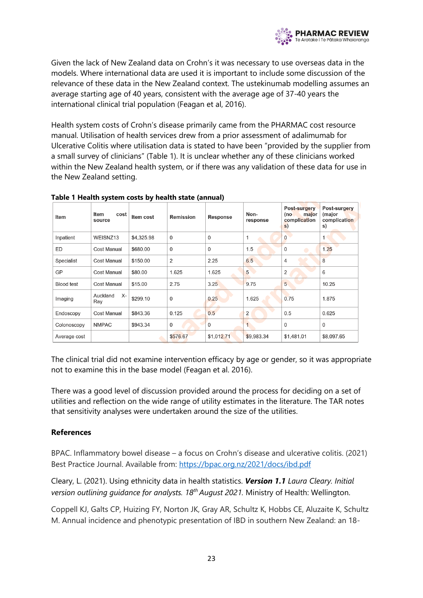

Given the lack of New Zealand data on Crohn's it was necessary to use overseas data in the models. Where international data are used it is important to include some discussion of the relevance of these data in the New Zealand context. The ustekinumab modelling assumes an average starting age of 40 years, consistent with the average age of 37-40 years the international clinical trial population (Feagan et al, 2016).

Health system costs of Crohn's disease primarily came from the PHARMAC cost resource manual. Utilisation of health services drew from a prior assessment of adalimumab for Ulcerative Colitis where utilisation data is stated to have been "provided by the supplier from a small survey of clinicians" (Table 1). It is unclear whether any of these clinicians worked within the New Zealand health system, or if there was any validation of these data for use in the New Zealand setting.

| Item              | Item<br>cost<br>source | Item cost  | <b>Remission</b> | <b>Response</b> | Non-<br>response | Post-surgery<br>major<br>(no<br>complication<br>s) | Post-surgery<br>(major<br>complication<br>s) |
|-------------------|------------------------|------------|------------------|-----------------|------------------|----------------------------------------------------|----------------------------------------------|
| Inpatient         | WEISNZ13               | \$4,325.98 | $\mathbf 0$      | $\mathbf 0$     | 1                | 0                                                  | 1                                            |
| ED                | <b>Cost Manual</b>     | \$680.00   | $\Omega$         | 0               | 1.5              | 0                                                  | 1.25                                         |
| Specialist        | <b>Cost Manual</b>     | \$150.00   | $\overline{2}$   | 2.25            | 6.5              | 4                                                  | 8                                            |
| GP                | <b>Cost Manual</b>     | \$80.00    | 1.625            | 1.625           | $5\overline{}$   | 2                                                  | 6                                            |
| <b>Blood test</b> | <b>Cost Manual</b>     | \$15.00    | 2.75             | 3.25            | 9.75             | 5                                                  | 10.25                                        |
| Imaging           | Х-<br>Auckland<br>Ray  | \$299.10   | $\mathbf{0}$     | 0.25            | 1.625            | 0.75                                               | 1.875                                        |
| Endoscopy         | <b>Cost Manual</b>     | \$843.36   | 0.125            | 0.5             | $\overline{2}$   | 0.5                                                | 0.625                                        |
| Colonoscopy       | <b>NMPAC</b>           | \$943.34   | $\mathbf 0$      | 0               |                  | $\Omega$                                           | 0                                            |
| Average cost      |                        |            | \$576.67         | \$1,012.71      | \$9,983.34       | \$1,481.01                                         | \$8,097.65                                   |

#### **Table 1 Health system costs by health state (annual)**

The clinical trial did not examine intervention efficacy by age or gender, so it was appropriate not to examine this in the base model (Feagan et al. 2016).

There was a good level of discussion provided around the process for deciding on a set of utilities and reflection on the wide range of utility estimates in the literature. The TAR notes that sensitivity analyses were undertaken around the size of the utilities.

#### **References**

BPAC. Inflammatory bowel disease – a focus on Crohn's disease and ulcerative colitis. (2021) Best Practice Journal. Available from:<https://bpac.org.nz/2021/docs/ibd.pdf>

Cleary, L. (2021). Using ethnicity data in health statistics. *Version 1.1 Laura Cleary. Initial version outlining guidance for analysts. 18th August 2021.* Ministry of Health: Wellington.

Coppell KJ, Galts CP, Huizing FY, Norton JK, Gray AR, Schultz K, Hobbs CE, Aluzaite K, Schultz M. Annual incidence and phenotypic presentation of IBD in southern New Zealand: an 18-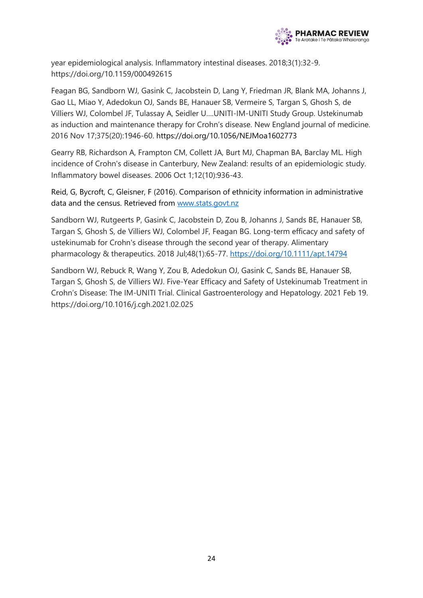

year epidemiological analysis. Inflammatory intestinal diseases. 2018;3(1):32-9. https://doi.org/10.1159/000492615

Feagan BG, Sandborn WJ, Gasink C, Jacobstein D, Lang Y, Friedman JR, Blank MA, Johanns J, Gao LL, Miao Y, Adedokun OJ, Sands BE, Hanauer SB, Vermeire S, Targan S, Ghosh S, de Villiers WJ, Colombel JF, Tulassay A, Seidler U….UNITI-IM-UNITI Study Group. Ustekinumab as induction and maintenance therapy for Crohn's disease. New England journal of medicine. 2016 Nov 17;375(20):1946-60. https://doi.org/10.1056/NEJMoa1602773

Gearry RB, Richardson A, Frampton CM, Collett JA, Burt MJ, Chapman BA, Barclay ML. High incidence of Crohn's disease in Canterbury, New Zealand: results of an epidemiologic study. Inflammatory bowel diseases. 2006 Oct 1;12(10):936-43.

Reid, G, Bycroft, C, Gleisner, F (2016). Comparison of ethnicity information in administrative data and the census. Retrieved from www.stats.govt.nz

Sandborn WJ, Rutgeerts P, Gasink C, Jacobstein D, Zou B, Johanns J, Sands BE, Hanauer SB, Targan S, Ghosh S, de Villiers WJ, Colombel JF, Feagan BG. Long‐term efficacy and safety of ustekinumab for Crohn's disease through the second year of therapy. Alimentary pharmacology & therapeutics. 2018 Jul;48(1):65-77. <https://doi.org/10.1111/apt.14794>

Sandborn WJ, Rebuck R, Wang Y, Zou B, Adedokun OJ, Gasink C, Sands BE, Hanauer SB, Targan S, Ghosh S, de Villiers WJ. Five-Year Efficacy and Safety of Ustekinumab Treatment in Crohn's Disease: The IM-UNITI Trial. Clinical Gastroenterology and Hepatology. 2021 Feb 19. https://doi.org/10.1016/j.cgh.2021.02.025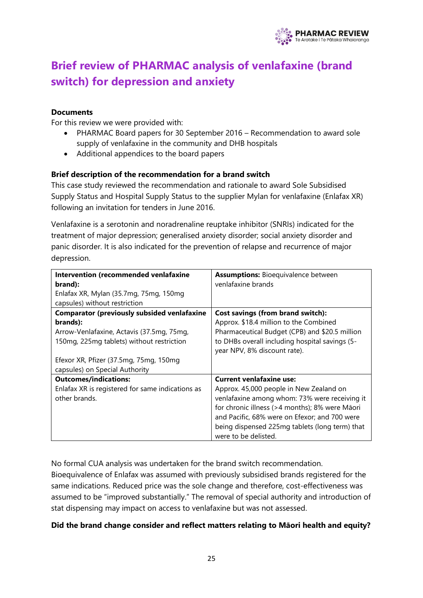

# <span id="page-24-0"></span>**Brief review of PHARMAC analysis of venlafaxine (brand switch) for depression and anxiety**

#### **Documents**

For this review we were provided with:

- PHARMAC Board papers for 30 September 2016 Recommendation to award sole supply of venlafaxine in the community and DHB hospitals
- Additional appendices to the board papers

#### **Brief description of the recommendation for a brand switch**

This case study reviewed the recommendation and rationale to award Sole Subsidised Supply Status and Hospital Supply Status to the supplier Mylan for venlafaxine (Enlafax XR) following an invitation for tenders in June 2016.

Venlafaxine is a serotonin and noradrenaline reuptake inhibitor (SNRIs) indicated for the treatment of major depression; generalised anxiety disorder; social anxiety disorder and panic disorder. It is also indicated for the prevention of relapse and recurrence of major depression.

| Intervention (recommended venlafaxine              | <b>Assumptions: Bioequivalence between</b>     |
|----------------------------------------------------|------------------------------------------------|
| brand):                                            | venlafaxine brands                             |
| Enlafax XR, Mylan (35.7mg, 75mg, 150mg             |                                                |
| capsules) without restriction                      |                                                |
| <b>Comparator (previously subsided venlafaxine</b> | Cost savings (from brand switch):              |
| brands):                                           | Approx. \$18.4 million to the Combined         |
| Arrow-Venlafaxine, Actavis (37.5mg, 75mg,          | Pharmaceutical Budget (CPB) and \$20.5 million |
| 150mg, 225mg tablets) without restriction          | to DHBs overall including hospital savings (5- |
|                                                    | year NPV, 8% discount rate).                   |
| Efexor XR, Pfizer (37.5mg, 75mg, 150mg             |                                                |
| capsules) on Special Authority                     |                                                |
| <b>Outcomes/indications:</b>                       | <b>Current venlafaxine use:</b>                |
| Enlafax XR is registered for same indications as   | Approx. 45,000 people in New Zealand on        |
| other brands.                                      | venlafaxine among whom: 73% were receiving it  |
|                                                    | for chronic illness (>4 months); 8% were Māori |
|                                                    | and Pacific, 68% were on Efexor; and 700 were  |
|                                                    | being dispensed 225mg tablets (long term) that |
|                                                    | were to be delisted.                           |

No formal CUA analysis was undertaken for the brand switch recommendation. Bioequivalence of Enlafax was assumed with previously subsidised brands registered for the same indications. Reduced price was the sole change and therefore, cost-effectiveness was assumed to be "improved substantially." The removal of special authority and introduction of stat dispensing may impact on access to venlafaxine but was not assessed.

#### **Did the brand change consider and reflect matters relating to Māori health and equity?**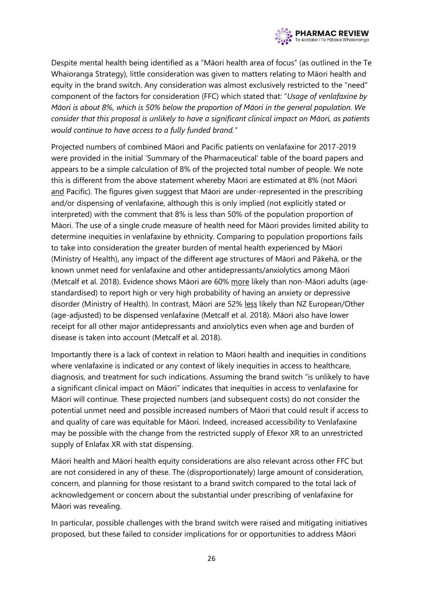

Despite mental health being identified as a "Māori health area of focus" (as outlined in the Te Whaioranga Strategy), little consideration was given to matters relating to Māori health and equity in the brand switch. Any consideration was almost exclusively restricted to the "need" component of the factors for consideration (FFC) which stated that: "*Usage of venlafaxine by Māori is about 8%, which is 50% below the proportion of Māori in the general population. We consider that this proposal is unlikely to have a significant clinical impact on Māori, as patients would continue to have access to a fully funded brand."*

Projected numbers of combined Māori and Pacific patients on venlafaxine for 2017-2019 were provided in the initial 'Summary of the Pharmaceutical' table of the board papers and appears to be a simple calculation of 8% of the projected total number of people. We note this is different from the above statement whereby Māori are estimated at 8% (not Māori and Pacific). The figures given suggest that Māori are under-represented in the prescribing and/or dispensing of venlafaxine, although this is only implied (not explicitly stated or interpreted) with the comment that 8% is less than 50% of the population proportion of Māori. The use of a single crude measure of health need for Māori provides limited ability to determine inequities in venlafaxine by ethnicity. Comparing to population proportions fails to take into consideration the greater burden of mental health experienced by Māori (Ministry of Health), any impact of the different age structures of Māori and Pākehā, or the known unmet need for venlafaxine and other antidepressants/anxiolytics among Māori (Metcalf et al. 2018). Evidence shows Māori are 60% more likely than non-Māori adults (agestandardised) to report high or very high probability of having an anxiety or depressive disorder (Ministry of Health). In contrast, Māori are 52% less likely than NZ European/Other (age-adjusted) to be dispensed venlafaxine (Metcalf et al. 2018). Māori also have lower receipt for all other major antidepressants and anxiolytics even when age and burden of disease is taken into account (Metcalf et al. 2018).

Importantly there is a lack of context in relation to Māori health and inequities in conditions where venlafaxine is indicated or any context of likely inequities in access to healthcare, diagnosis, and treatment for such indications. Assuming the brand switch "is unlikely to have a significant clinical impact on Māori" indicates that inequities in access to venlafaxine for Māori will continue. These projected numbers (and subsequent costs) do not consider the potential unmet need and possible increased numbers of Māori that could result if access to and quality of care was equitable for Māori. Indeed, increased accessibility to Venlafaxine may be possible with the change from the restricted supply of Efexor XR to an unrestricted supply of Enlafax XR with stat dispensing.

Māori health and Māori health equity considerations are also relevant across other FFC but are not considered in any of these. The (disproportionately) large amount of consideration, concern, and planning for those resistant to a brand switch compared to the total lack of acknowledgement or concern about the substantial under prescribing of venlafaxine for Māori was revealing.

In particular, possible challenges with the brand switch were raised and mitigating initiatives proposed, but these failed to consider implications for or opportunities to address Māori